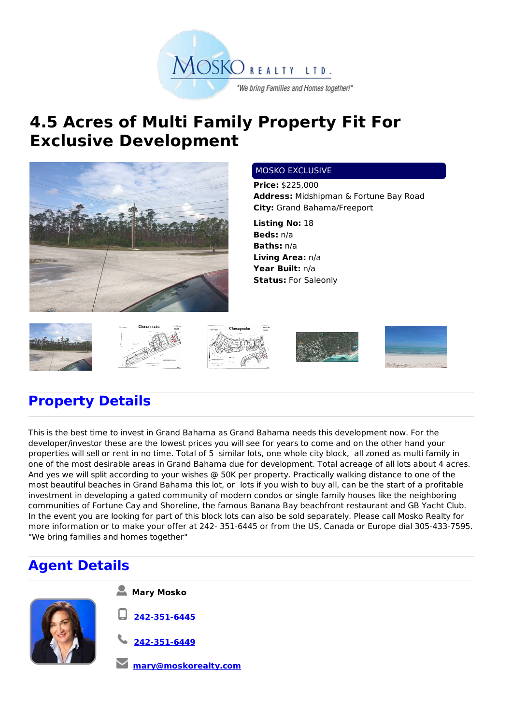

## **4.5 Acres of Multi Family Property Fit For Exclusive Development**



## MOSKO EXCLUSIVE

**Price:** \$225,000 **Address:** Midshipman & Fortune Bay Road **City:** Grand Bahama/Freeport

**Listing No:** 18 **Beds:** n/a **Baths:** n/a **Living Area:** n/a **Year Built:** n/a **Status:** For Saleonly











## **Property Details**

This is the best time to invest in Grand Bahama as Grand Bahama needs this development now. For the developer/investor these are the lowest prices you will see for years to come and on the other hand your properties will sell or rent in no time. Total of 5 similar lots, one whole city block, all zoned as multi family in one of the most desirable areas in Grand Bahama due for development. Total acreage of all lots about 4 acres. And yes we will split according to your wishes @ 50K per property. Practically walking distance to one of the most beautiful beaches in Grand Bahama this lot, or lots if you wish to buy all, can be the start of a profitable investment in developing a gated community of modern condos or single family houses like the neighboring communities of Fortune Cay and Shoreline, the famous Banana Bay beachfront restaurant and GB Yacht Club. In the event you are looking for part of this block lots can also be sold separately. Please call Mosko Realty for more information or to make your offer at 242- 351-6445 or from the US, Canada or Europe dial 305-433-7595. "We bring families and homes together"

## **Agent Details**



- **Mary Mosko**
- **242-351-6445**
- **242-351-6449**
- **mary@moskorealty.com**